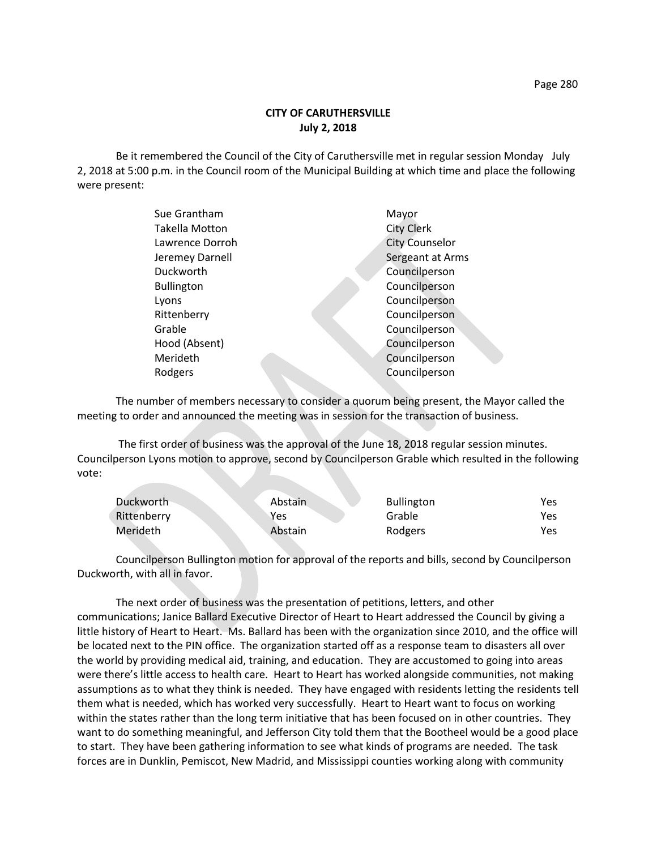Be it remembered the Council of the City of Caruthersville met in regular session Monday July 2, 2018 at 5:00 p.m. in the Council room of the Municipal Building at which time and place the following were present:

| Sue Grantham          | Mayor                 |
|-----------------------|-----------------------|
| <b>Takella Motton</b> | <b>City Clerk</b>     |
| Lawrence Dorroh       | <b>City Counselor</b> |
| Jeremey Darnell       | Sergeant at Arms      |
| Duckworth             | Councilperson         |
| <b>Bullington</b>     | Councilperson         |
| Lyons                 | Councilperson         |
| Rittenberry           | Councilperson         |
| Grable                | Councilperson         |
| Hood (Absent)         | Councilperson         |
| Merideth              | Councilperson         |
| Rodgers               | Councilperson         |
|                       |                       |

The number of members necessary to consider a quorum being present, the Mayor called the meeting to order and announced the meeting was in session for the transaction of business.

The first order of business was the approval of the June 18, 2018 regular session minutes. Councilperson Lyons motion to approve, second by Councilperson Grable which resulted in the following vote:

| Duckworth   | Abstain | <b>Bullington</b> | Yes |
|-------------|---------|-------------------|-----|
| Rittenberry | Yes     | Grable            | Yes |
| Merideth    | Abstain | Rodgers           | Yes |

Councilperson Bullington motion for approval of the reports and bills, second by Councilperson Duckworth, with all in favor.

The next order of business was the presentation of petitions, letters, and other communications; Janice Ballard Executive Director of Heart to Heart addressed the Council by giving a little history of Heart to Heart. Ms. Ballard has been with the organization since 2010, and the office will be located next to the PIN office. The organization started off as a response team to disasters all over the world by providing medical aid, training, and education. They are accustomed to going into areas were there's little access to health care. Heart to Heart has worked alongside communities, not making assumptions as to what they think is needed. They have engaged with residents letting the residents tell them what is needed, which has worked very successfully. Heart to Heart want to focus on working within the states rather than the long term initiative that has been focused on in other countries. They want to do something meaningful, and Jefferson City told them that the Bootheel would be a good place to start. They have been gathering information to see what kinds of programs are needed. The task forces are in Dunklin, Pemiscot, New Madrid, and Mississippi counties working along with community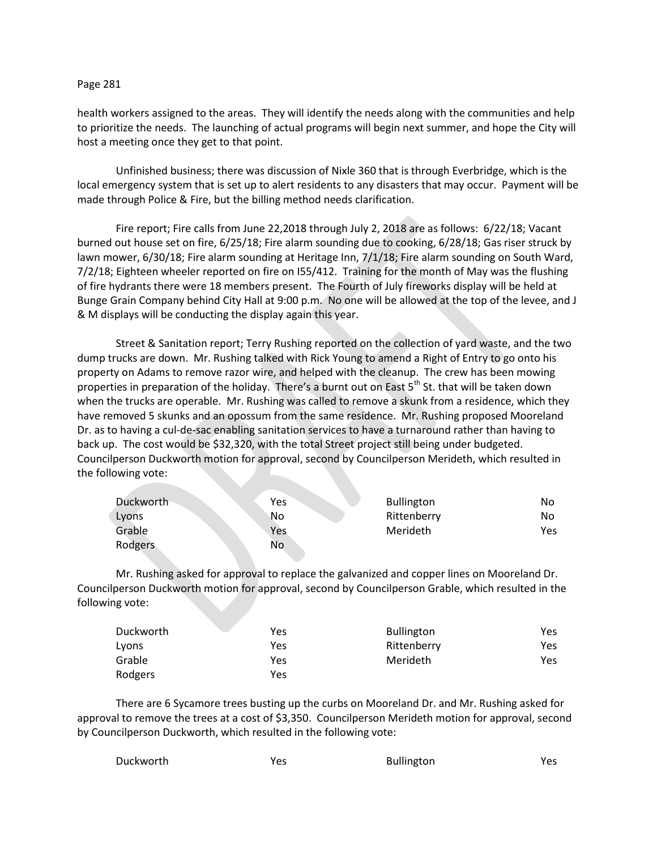## Page 281

health workers assigned to the areas. They will identify the needs along with the communities and help to prioritize the needs. The launching of actual programs will begin next summer, and hope the City will host a meeting once they get to that point.

Unfinished business; there was discussion of Nixle 360 that is through Everbridge, which is the local emergency system that is set up to alert residents to any disasters that may occur. Payment will be made through Police & Fire, but the billing method needs clarification.

Fire report; Fire calls from June 22,2018 through July 2, 2018 are as follows: 6/22/18; Vacant burned out house set on fire, 6/25/18; Fire alarm sounding due to cooking, 6/28/18; Gas riser struck by lawn mower, 6/30/18; Fire alarm sounding at Heritage Inn, 7/1/18; Fire alarm sounding on South Ward, 7/2/18; Eighteen wheeler reported on fire on I55/412. Training for the month of May was the flushing of fire hydrants there were 18 members present. The Fourth of July fireworks display will be held at Bunge Grain Company behind City Hall at 9:00 p.m. No one will be allowed at the top of the levee, and J & M displays will be conducting the display again this year.

Street & Sanitation report; Terry Rushing reported on the collection of yard waste, and the two dump trucks are down. Mr. Rushing talked with Rick Young to amend a Right of Entry to go onto his property on Adams to remove razor wire, and helped with the cleanup. The crew has been mowing properties in preparation of the holiday. There's a burnt out on East 5<sup>th</sup> St. that will be taken down when the trucks are operable. Mr. Rushing was called to remove a skunk from a residence, which they have removed 5 skunks and an opossum from the same residence. Mr. Rushing proposed Mooreland Dr. as to having a cul-de-sac enabling sanitation services to have a turnaround rather than having to back up. The cost would be \$32,320, with the total Street project still being under budgeted. Councilperson Duckworth motion for approval, second by Councilperson Merideth, which resulted in the following vote:

| Duckworth | Yes | <b>Bullington</b> | No  |
|-----------|-----|-------------------|-----|
| Lyons     | No  | Rittenberry       | No  |
| Grable    | Yes | Merideth          | Yes |
| Rodgers   | No  |                   |     |

Mr. Rushing asked for approval to replace the galvanized and copper lines on Mooreland Dr. Councilperson Duckworth motion for approval, second by Councilperson Grable, which resulted in the following vote:

| Duckworth | Yes | <b>Bullington</b> | Yes |
|-----------|-----|-------------------|-----|
| Lyons     | Yes | Rittenberry       | Yes |
| Grable    | Yes | Merideth          | Yes |
| Rodgers   | Yes |                   |     |

There are 6 Sycamore trees busting up the curbs on Mooreland Dr. and Mr. Rushing asked for approval to remove the trees at a cost of \$3,350. Councilperson Merideth motion for approval, second by Councilperson Duckworth, which resulted in the following vote: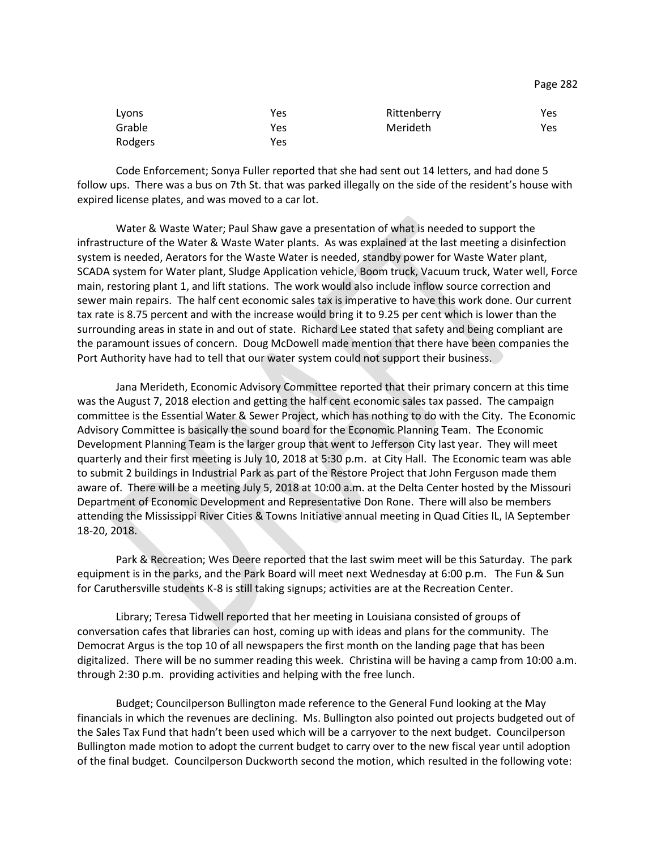| Lyons   | Yes | Rittenberry | Yes |
|---------|-----|-------------|-----|
| Grable  | Yes | Merideth    | Yes |
| Rodgers | Yes |             |     |

Code Enforcement; Sonya Fuller reported that she had sent out 14 letters, and had done 5 follow ups. There was a bus on 7th St. that was parked illegally on the side of the resident's house with expired license plates, and was moved to a car lot.

Water & Waste Water; Paul Shaw gave a presentation of what is needed to support the infrastructure of the Water & Waste Water plants. As was explained at the last meeting a disinfection system is needed, Aerators for the Waste Water is needed, standby power for Waste Water plant, SCADA system for Water plant, Sludge Application vehicle, Boom truck, Vacuum truck, Water well, Force main, restoring plant 1, and lift stations. The work would also include inflow source correction and sewer main repairs. The half cent economic sales tax is imperative to have this work done. Our current tax rate is 8.75 percent and with the increase would bring it to 9.25 per cent which is lower than the surrounding areas in state in and out of state. Richard Lee stated that safety and being compliant are the paramount issues of concern. Doug McDowell made mention that there have been companies the Port Authority have had to tell that our water system could not support their business.

Jana Merideth, Economic Advisory Committee reported that their primary concern at this time was the August 7, 2018 election and getting the half cent economic sales tax passed. The campaign committee is the Essential Water & Sewer Project, which has nothing to do with the City. The Economic Advisory Committee is basically the sound board for the Economic Planning Team. The Economic Development Planning Team is the larger group that went to Jefferson City last year. They will meet quarterly and their first meeting is July 10, 2018 at 5:30 p.m. at City Hall. The Economic team was able to submit 2 buildings in Industrial Park as part of the Restore Project that John Ferguson made them aware of. There will be a meeting July 5, 2018 at 10:00 a.m. at the Delta Center hosted by the Missouri Department of Economic Development and Representative Don Rone. There will also be members attending the Mississippi River Cities & Towns Initiative annual meeting in Quad Cities IL, IA September 18-20, 2018.

Park & Recreation; Wes Deere reported that the last swim meet will be this Saturday. The park equipment is in the parks, and the Park Board will meet next Wednesday at 6:00 p.m. The Fun & Sun for Caruthersville students K-8 is still taking signups; activities are at the Recreation Center.

Library; Teresa Tidwell reported that her meeting in Louisiana consisted of groups of conversation cafes that libraries can host, coming up with ideas and plans for the community. The Democrat Argus is the top 10 of all newspapers the first month on the landing page that has been digitalized. There will be no summer reading this week. Christina will be having a camp from 10:00 a.m. through 2:30 p.m. providing activities and helping with the free lunch.

Budget; Councilperson Bullington made reference to the General Fund looking at the May financials in which the revenues are declining. Ms. Bullington also pointed out projects budgeted out of the Sales Tax Fund that hadn't been used which will be a carryover to the next budget. Councilperson Bullington made motion to adopt the current budget to carry over to the new fiscal year until adoption of the final budget. Councilperson Duckworth second the motion, which resulted in the following vote:

Page 282